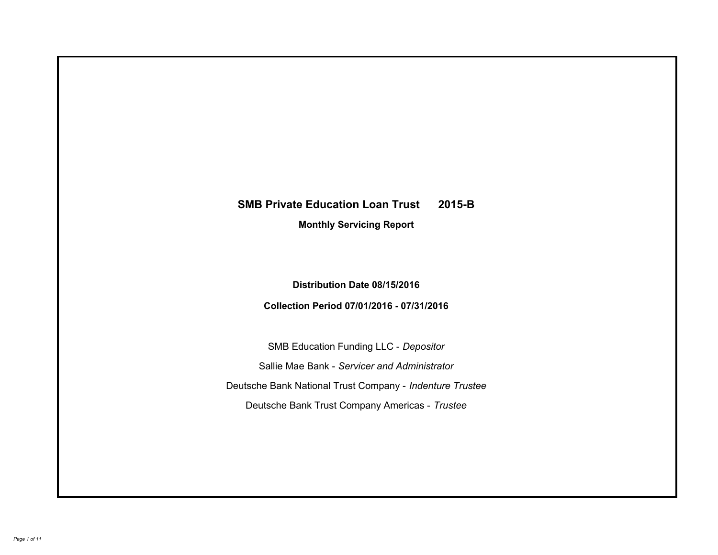# **SMB Private Education Loan Trust 2015-B Monthly Servicing Report**

## **Distribution Date 08/15/2016**

## **Collection Period 07/01/2016 - 07/31/2016**

SMB Education Funding LLC - *Depositor* Sallie Mae Bank - *Servicer and Administrator* Deutsche Bank National Trust Company - *Indenture Trustee* Deutsche Bank Trust Company Americas - *Trustee*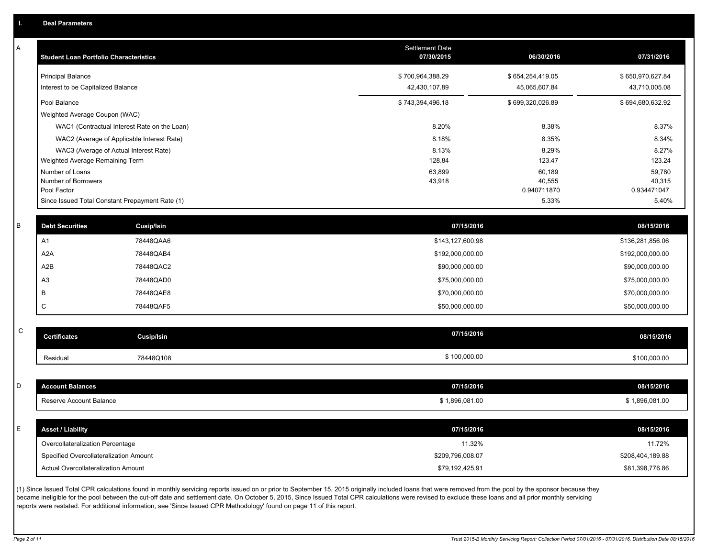A

| A  | <b>Student Loan Portfolio Characteristics</b>   |                                              | <b>Settlement Date</b><br>07/30/2015 | 06/30/2016       | 07/31/2016       |
|----|-------------------------------------------------|----------------------------------------------|--------------------------------------|------------------|------------------|
|    | <b>Principal Balance</b>                        |                                              | \$700,964,388.29                     | \$654,254,419.05 | \$650,970,627.84 |
|    | Interest to be Capitalized Balance              |                                              | 42,430,107.89                        | 45,065,607.84    | 43,710,005.08    |
|    | Pool Balance                                    |                                              | \$743,394,496.18                     | \$699,320,026.89 | \$694,680,632.92 |
|    | Weighted Average Coupon (WAC)                   |                                              |                                      |                  |                  |
|    |                                                 | WAC1 (Contractual Interest Rate on the Loan) | 8.20%                                | 8.38%            | 8.37%            |
|    |                                                 | WAC2 (Average of Applicable Interest Rate)   | 8.18%                                | 8.35%            | 8.34%            |
|    | WAC3 (Average of Actual Interest Rate)          |                                              | 8.13%                                | 8.29%            | 8.27%            |
|    | Weighted Average Remaining Term                 |                                              | 128.84                               | 123.47           | 123.24           |
|    | Number of Loans<br>Number of Borrowers          |                                              | 63,899<br>43,918                     | 60,189<br>40,555 | 59,780<br>40,315 |
|    | Pool Factor                                     |                                              |                                      | 0.940711870      | 0.934471047      |
|    | Since Issued Total Constant Prepayment Rate (1) |                                              |                                      | 5.33%            | 5.40%            |
| B  | <b>Debt Securities</b>                          | <b>Cusip/Isin</b>                            | 07/15/2016                           |                  | 08/15/2016       |
|    | A1                                              | 78448QAA6                                    | \$143,127,600.98                     |                  | \$136,281,856.06 |
|    | A <sub>2</sub> A                                | 78448QAB4                                    | \$192,000,000.00                     |                  | \$192,000,000.00 |
|    |                                                 |                                              |                                      |                  |                  |
|    | A2B                                             | 78448QAC2                                    | \$90,000,000.00                      |                  | \$90,000,000.00  |
|    | A <sub>3</sub>                                  | 78448QAD0                                    | \$75,000,000.00                      |                  | \$75,000,000.00  |
|    | B                                               | 78448QAE8                                    | \$70,000,000.00                      |                  | \$70,000,000.00  |
|    | C                                               | 78448QAF5                                    | \$50,000,000.00                      |                  | \$50,000,000.00  |
| C  |                                                 |                                              |                                      |                  |                  |
|    | <b>Certificates</b>                             | Cusip/Isin                                   | 07/15/2016                           |                  | 08/15/2016       |
|    | Residual                                        | 78448Q108                                    | \$100,000.00                         |                  | \$100,000.00     |
|    |                                                 |                                              |                                      |                  |                  |
| D  | <b>Account Balances</b>                         |                                              | 07/15/2016                           |                  | 08/15/2016       |
|    | Reserve Account Balance                         |                                              | \$1,896,081.00                       |                  | \$1,896,081.00   |
|    |                                                 |                                              |                                      |                  |                  |
| E. | <b>Asset / Liability</b>                        |                                              | 07/15/2016                           |                  | 08/15/2016       |
|    | Overcollateralization Percentage                |                                              | 11.32%                               |                  | 11.72%           |
|    | Specified Overcollateralization Amount          |                                              | \$209,796,008.07                     |                  | \$208,404,189.88 |
|    | Actual Overcollateralization Amount             |                                              | \$79,192,425.91                      |                  | \$81,398,776.86  |

(1) Since Issued Total CPR calculations found in monthly servicing reports issued on or prior to September 15, 2015 originally included loans that were removed from the pool by the sponsor because they became ineligible for the pool between the cut-off date and settlement date. On October 5, 2015, Since Issued Total CPR calculations were revised to exclude these loans and all prior monthly servicing reports were restated. For additional information, see 'Since Issued CPR Methodology' found on page 11 of this report.

C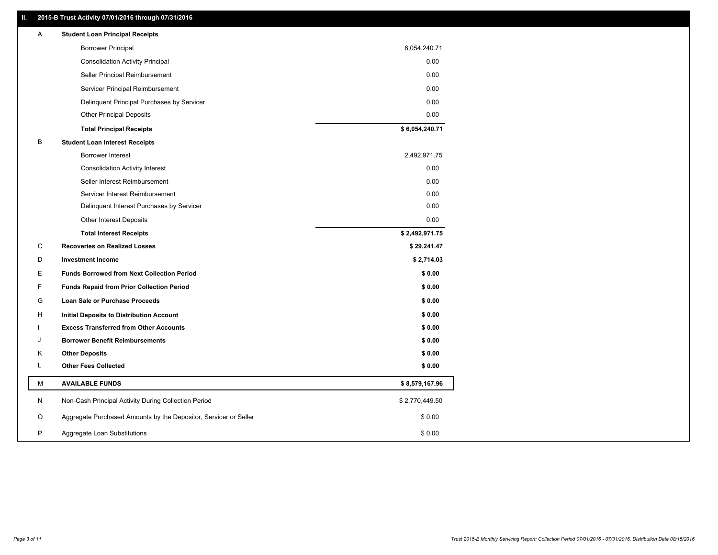### **II. 2015-B Trust Activity 07/01/2016 through 07/31/2016**

| Α | <b>Student Loan Principal Receipts</b>                           |                |  |
|---|------------------------------------------------------------------|----------------|--|
|   | <b>Borrower Principal</b>                                        | 6,054,240.71   |  |
|   | <b>Consolidation Activity Principal</b>                          | 0.00           |  |
|   | Seller Principal Reimbursement                                   | 0.00           |  |
|   | Servicer Principal Reimbursement                                 | 0.00           |  |
|   | Delinquent Principal Purchases by Servicer                       | 0.00           |  |
|   | <b>Other Principal Deposits</b>                                  | 0.00           |  |
|   | <b>Total Principal Receipts</b>                                  | \$6,054,240.71 |  |
| B | <b>Student Loan Interest Receipts</b>                            |                |  |
|   | Borrower Interest                                                | 2,492,971.75   |  |
|   | <b>Consolidation Activity Interest</b>                           | 0.00           |  |
|   | Seller Interest Reimbursement                                    | 0.00           |  |
|   | Servicer Interest Reimbursement                                  | 0.00           |  |
|   | Delinquent Interest Purchases by Servicer                        | 0.00           |  |
|   | <b>Other Interest Deposits</b>                                   | 0.00           |  |
|   | <b>Total Interest Receipts</b>                                   | \$2,492,971.75 |  |
| C | <b>Recoveries on Realized Losses</b>                             | \$29,241.47    |  |
| D | <b>Investment Income</b>                                         | \$2,714.03     |  |
| Ε | <b>Funds Borrowed from Next Collection Period</b>                | \$0.00         |  |
| F | <b>Funds Repaid from Prior Collection Period</b>                 | \$0.00         |  |
| G | Loan Sale or Purchase Proceeds                                   | \$0.00         |  |
| H | Initial Deposits to Distribution Account                         | \$0.00         |  |
|   | <b>Excess Transferred from Other Accounts</b>                    | \$0.00         |  |
| J | <b>Borrower Benefit Reimbursements</b>                           | \$0.00         |  |
| Κ | <b>Other Deposits</b>                                            | \$0.00         |  |
| L | <b>Other Fees Collected</b>                                      | \$0.00         |  |
| М | <b>AVAILABLE FUNDS</b>                                           | \$8,579,167.96 |  |
| N | Non-Cash Principal Activity During Collection Period             | \$2,770,449.50 |  |
| O | Aggregate Purchased Amounts by the Depositor, Servicer or Seller | \$0.00         |  |
| P | Aggregate Loan Substitutions                                     | \$0.00         |  |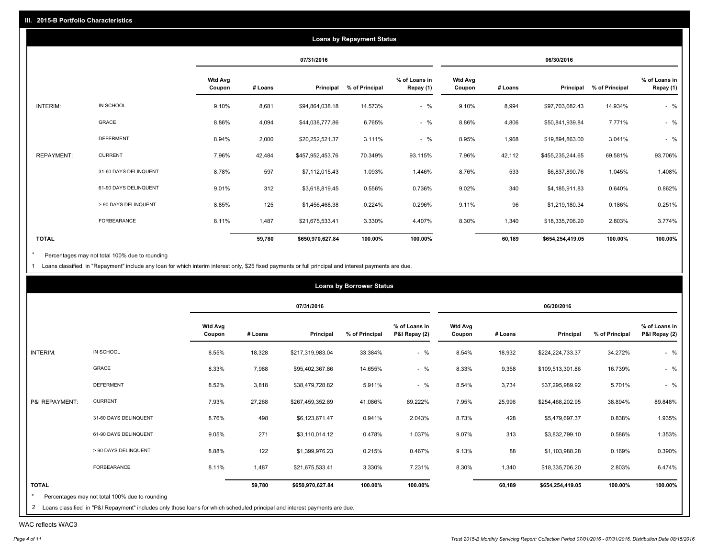|                   |                       |                          |         |                  | <b>Loans by Repayment Status</b> |                            |                          |         |                  |                |                            |
|-------------------|-----------------------|--------------------------|---------|------------------|----------------------------------|----------------------------|--------------------------|---------|------------------|----------------|----------------------------|
|                   |                       |                          |         | 07/31/2016       |                                  |                            |                          |         | 06/30/2016       |                |                            |
|                   |                       | <b>Wtd Avg</b><br>Coupon | # Loans | Principal        | % of Principal                   | % of Loans in<br>Repay (1) | <b>Wtd Avg</b><br>Coupon | # Loans | Principal        | % of Principal | % of Loans in<br>Repay (1) |
| INTERIM:          | IN SCHOOL             | 9.10%                    | 8,681   | \$94,864,038.18  | 14.573%                          | $-$ %                      | 9.10%                    | 8,994   | \$97,703,682.43  | 14.934%        | $-$ %                      |
|                   | GRACE                 | 8.86%                    | 4,094   | \$44,038,777.86  | 6.765%                           | $-$ %                      | 8.86%                    | 4,806   | \$50,841,939.84  | 7.771%         | $-$ %                      |
|                   | <b>DEFERMENT</b>      | 8.94%                    | 2,000   | \$20,252,521.37  | 3.111%                           | $-$ %                      | 8.95%                    | 1,968   | \$19,894,863.00  | 3.041%         | $-$ %                      |
| <b>REPAYMENT:</b> | <b>CURRENT</b>        | 7.96%                    | 42,484  | \$457,952,453.76 | 70.349%                          | 93.115%                    | 7.96%                    | 42,112  | \$455,235,244.65 | 69.581%        | 93.706%                    |
|                   | 31-60 DAYS DELINQUENT | 8.78%                    | 597     | \$7,112,015.43   | 1.093%                           | 1.446%                     | 8.76%                    | 533     | \$6,837,890.76   | 1.045%         | 1.408%                     |
|                   | 61-90 DAYS DELINQUENT | 9.01%                    | 312     | \$3,618,819.45   | 0.556%                           | 0.736%                     | 9.02%                    | 340     | \$4,185,911.83   | 0.640%         | 0.862%                     |
|                   | > 90 DAYS DELINQUENT  | 8.85%                    | 125     | \$1,456,468.38   | 0.224%                           | 0.296%                     | 9.11%                    | 96      | \$1,219,180.34   | 0.186%         | 0.251%                     |
|                   | <b>FORBEARANCE</b>    | 8.11%                    | 1,487   | \$21,675,533.41  | 3.330%                           | 4.407%                     | 8.30%                    | 1,340   | \$18,335,706.20  | 2.803%         | 3.774%                     |
| <b>TOTAL</b>      |                       |                          | 59,780  | \$650,970,627.84 | 100.00%                          | 100.00%                    |                          | 60,189  | \$654,254,419.05 | 100.00%        | 100.00%                    |

Percentages may not total 100% due to rounding  $^\star$ 

1 Loans classified in "Repayment" include any loan for which interim interest only, \$25 fixed payments or full principal and interest payments are due.

|                |                       |                          |         | 07/31/2016       |                |                                |                          |         | 06/30/2016       |                |                                |
|----------------|-----------------------|--------------------------|---------|------------------|----------------|--------------------------------|--------------------------|---------|------------------|----------------|--------------------------------|
|                |                       | <b>Wtd Avg</b><br>Coupon | # Loans | Principal        | % of Principal | % of Loans in<br>P&I Repay (2) | <b>Wtd Avg</b><br>Coupon | # Loans | Principal        | % of Principal | % of Loans in<br>P&I Repay (2) |
| INTERIM:       | IN SCHOOL             | 8.55%                    | 18,328  | \$217,319,983.04 | 33.384%        | $-$ %                          | 8.54%                    | 18,932  | \$224,224,733.37 | 34.272%        | $-$ %                          |
|                | GRACE                 | 8.33%                    | 7,988   | \$95,402,367.86  | 14.655%        | $-$ %                          | 8.33%                    | 9,358   | \$109,513,301.86 | 16.739%        | $-$ %                          |
|                | <b>DEFERMENT</b>      | 8.52%                    | 3,818   | \$38,479,728.82  | 5.911%         | $-$ %                          | 8.54%                    | 3,734   | \$37,295,989.92  | 5.701%         | $-$ %                          |
| P&I REPAYMENT: | <b>CURRENT</b>        | 7.93%                    | 27,268  | \$267,459,352.89 | 41.086%        | 89.222%                        | 7.95%                    | 25,996  | \$254,468,202.95 | 38.894%        | 89.848%                        |
|                | 31-60 DAYS DELINQUENT | 8.76%                    | 498     | \$6,123,671.47   | 0.941%         | 2.043%                         | 8.73%                    | 428     | \$5,479,697.37   | 0.838%         | 1.935%                         |
|                | 61-90 DAYS DELINQUENT | 9.05%                    | 271     | \$3,110,014.12   | 0.478%         | 1.037%                         | 9.07%                    | 313     | \$3,832,799.10   | 0.586%         | 1.353%                         |
|                | > 90 DAYS DELINQUENT  | 8.88%                    | 122     | \$1,399,976.23   | 0.215%         | 0.467%                         | 9.13%                    | 88      | \$1,103,988.28   | 0.169%         | 0.390%                         |
|                | FORBEARANCE           | 8.11%                    | 1,487   | \$21,675,533.41  | 3.330%         | 7.231%                         | 8.30%                    | 1,340   | \$18,335,706.20  | 2.803%         | 6.474%                         |
| <b>TOTAL</b>   |                       |                          | 59,780  | \$650,970,627.84 | 100.00%        | 100.00%                        |                          | 60,189  | \$654,254,419.05 | 100.00%        | 100.00%                        |

WAC reflects WAC3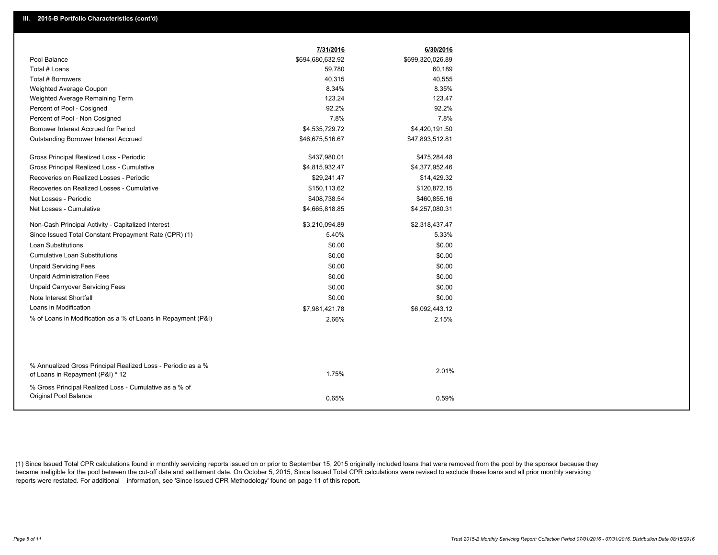|                                                                                                  | 7/31/2016        | 6/30/2016        |
|--------------------------------------------------------------------------------------------------|------------------|------------------|
| Pool Balance                                                                                     | \$694,680,632.92 | \$699,320,026.89 |
| Total # Loans                                                                                    | 59,780           | 60,189           |
| Total # Borrowers                                                                                | 40,315           | 40,555           |
| Weighted Average Coupon                                                                          | 8.34%            | 8.35%            |
| Weighted Average Remaining Term                                                                  | 123.24           | 123.47           |
| Percent of Pool - Cosigned                                                                       | 92.2%            | 92.2%            |
| Percent of Pool - Non Cosigned                                                                   | 7.8%             | 7.8%             |
| Borrower Interest Accrued for Period                                                             | \$4,535,729.72   | \$4,420,191.50   |
| <b>Outstanding Borrower Interest Accrued</b>                                                     | \$46,675,516.67  | \$47,893,512.81  |
| Gross Principal Realized Loss - Periodic                                                         | \$437,980.01     | \$475,284.48     |
| Gross Principal Realized Loss - Cumulative                                                       | \$4,815,932.47   | \$4,377,952.46   |
| Recoveries on Realized Losses - Periodic                                                         | \$29,241.47      | \$14,429.32      |
| Recoveries on Realized Losses - Cumulative                                                       | \$150,113.62     | \$120,872.15     |
| Net Losses - Periodic                                                                            | \$408,738.54     | \$460,855.16     |
| Net Losses - Cumulative                                                                          | \$4,665,818.85   | \$4,257,080.31   |
| Non-Cash Principal Activity - Capitalized Interest                                               | \$3,210,094.89   | \$2,318,437.47   |
| Since Issued Total Constant Prepayment Rate (CPR) (1)                                            | 5.40%            | 5.33%            |
| <b>Loan Substitutions</b>                                                                        | \$0.00           | \$0.00           |
| <b>Cumulative Loan Substitutions</b>                                                             | \$0.00           | \$0.00           |
| <b>Unpaid Servicing Fees</b>                                                                     | \$0.00           | \$0.00           |
| <b>Unpaid Administration Fees</b>                                                                | \$0.00           | \$0.00           |
| <b>Unpaid Carryover Servicing Fees</b>                                                           | \$0.00           | \$0.00           |
| Note Interest Shortfall                                                                          | \$0.00           | \$0.00           |
| Loans in Modification                                                                            | \$7,981,421.78   | \$6,092,443.12   |
| % of Loans in Modification as a % of Loans in Repayment (P&I)                                    | 2.66%            | 2.15%            |
|                                                                                                  |                  |                  |
|                                                                                                  |                  |                  |
| % Annualized Gross Principal Realized Loss - Periodic as a %<br>of Loans in Repayment (P&I) * 12 | 1.75%            | 2.01%            |
| % Gross Principal Realized Loss - Cumulative as a % of                                           |                  |                  |
| Original Pool Balance                                                                            | 0.65%            | 0.59%            |

(1) Since Issued Total CPR calculations found in monthly servicing reports issued on or prior to September 15, 2015 originally included loans that were removed from the pool by the sponsor because they became ineligible for the pool between the cut-off date and settlement date. On October 5, 2015, Since Issued Total CPR calculations were revised to exclude these loans and all prior monthly servicing reports were restated. For additional information, see 'Since Issued CPR Methodology' found on page 11 of this report.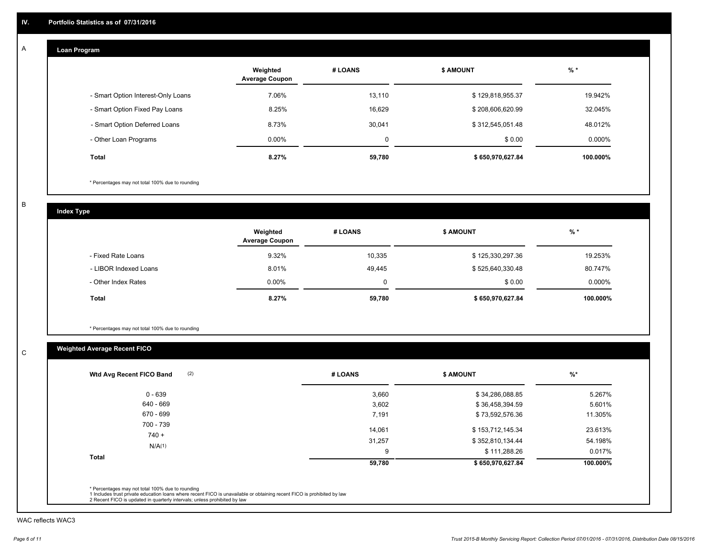#### **Loan Program**  A

|                                    | Weighted<br><b>Average Coupon</b> | # LOANS | <b>\$ AMOUNT</b> | $%$ *     |
|------------------------------------|-----------------------------------|---------|------------------|-----------|
| - Smart Option Interest-Only Loans | 7.06%                             | 13,110  | \$129,818,955.37 | 19.942%   |
| - Smart Option Fixed Pay Loans     | 8.25%                             | 16,629  | \$208,606,620.99 | 32.045%   |
| - Smart Option Deferred Loans      | 8.73%                             | 30.041  | \$312,545,051.48 | 48.012%   |
| - Other Loan Programs              | $0.00\%$                          | 0       | \$0.00           | $0.000\%$ |
| <b>Total</b>                       | 8.27%                             | 59,780  | \$650,970,627.84 | 100.000%  |

\* Percentages may not total 100% due to rounding

B

C

**Index Type**

|                       | Weighted<br><b>Average Coupon</b> | # LOANS | <b>\$ AMOUNT</b> | $%$ *     |
|-----------------------|-----------------------------------|---------|------------------|-----------|
| - Fixed Rate Loans    | 9.32%                             | 10,335  | \$125,330,297.36 | 19.253%   |
| - LIBOR Indexed Loans | 8.01%                             | 49,445  | \$525,640,330.48 | 80.747%   |
| - Other Index Rates   | $0.00\%$                          |         | \$0.00           | $0.000\%$ |
| Total                 | 8.27%                             | 59,780  | \$650,970,627.84 | 100.000%  |

\* Percentages may not total 100% due to rounding

## **Weighted Average Recent FICO**

| (2)<br>Wtd Avg Recent FICO Band | # LOANS     | <b>\$ AMOUNT</b>                 | $%$ *             |
|---------------------------------|-------------|----------------------------------|-------------------|
| $0 - 639$                       | 3,660       | \$34,286,088.85                  | 5.267%            |
| 640 - 669                       | 3,602       | \$36,458,394.59                  | 5.601%            |
| 670 - 699                       | 7,191       | \$73,592,576.36                  | 11.305%           |
| 700 - 739<br>$740 +$            | 14.061      | \$153,712,145.34                 | 23.613%           |
| N/A(1)                          | 31,257<br>9 | \$352,810,134.44<br>\$111,288.26 | 54.198%<br>0.017% |
| <b>Total</b>                    | 59,780      | \$650,970,627.84                 | 100.000%          |

WAC reflects WAC3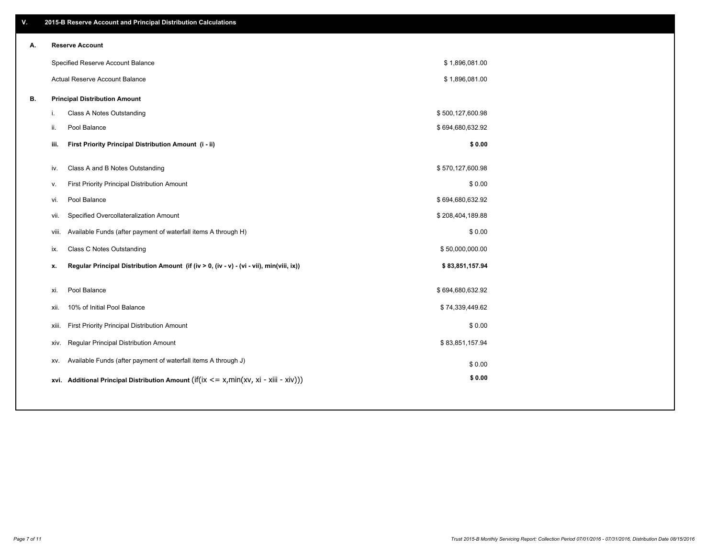| ۷. |     | 2015-B Reserve Account and Principal Distribution Calculations                             |                  |  |
|----|-----|--------------------------------------------------------------------------------------------|------------------|--|
| А. |     | <b>Reserve Account</b>                                                                     |                  |  |
|    |     | Specified Reserve Account Balance                                                          | \$1,896,081.00   |  |
|    |     | Actual Reserve Account Balance                                                             | \$1,896,081.00   |  |
| В. |     | <b>Principal Distribution Amount</b>                                                       |                  |  |
|    | i.  | Class A Notes Outstanding                                                                  | \$500,127,600.98 |  |
|    | ii. | Pool Balance                                                                               | \$694,680,632.92 |  |
|    |     | First Priority Principal Distribution Amount (i - ii)<br>iii.                              | \$0.00           |  |
|    |     |                                                                                            |                  |  |
|    | iv. | Class A and B Notes Outstanding                                                            | \$570,127,600.98 |  |
|    | v.  | First Priority Principal Distribution Amount                                               | \$0.00           |  |
|    | vi. | Pool Balance                                                                               | \$694,680,632.92 |  |
|    |     | Specified Overcollateralization Amount<br>vii.                                             | \$208,404,189.88 |  |
|    |     | Available Funds (after payment of waterfall items A through H)<br>viii.                    | \$0.00           |  |
|    | ix. | <b>Class C Notes Outstanding</b>                                                           | \$50,000,000.00  |  |
|    | x.  | Regular Principal Distribution Amount (if (iv > 0, (iv - v) - (vi - vii), min(viii, ix))   | \$83,851,157.94  |  |
|    | xi. | Pool Balance                                                                               | \$694,680,632.92 |  |
|    |     | 10% of Initial Pool Balance<br>xii.                                                        | \$74,339,449.62  |  |
|    |     |                                                                                            |                  |  |
|    |     | First Priority Principal Distribution Amount<br>xiii.                                      | \$0.00           |  |
|    |     | Regular Principal Distribution Amount<br>xiv.                                              | \$83,851,157.94  |  |
|    |     | Available Funds (after payment of waterfall items A through J)<br>XV.                      | \$0.00           |  |
|    |     | xvi. Additional Principal Distribution Amount (if(ix $\lt$ = x, min(xv, xi - xiii - xiv))) | \$0.00           |  |
|    |     |                                                                                            |                  |  |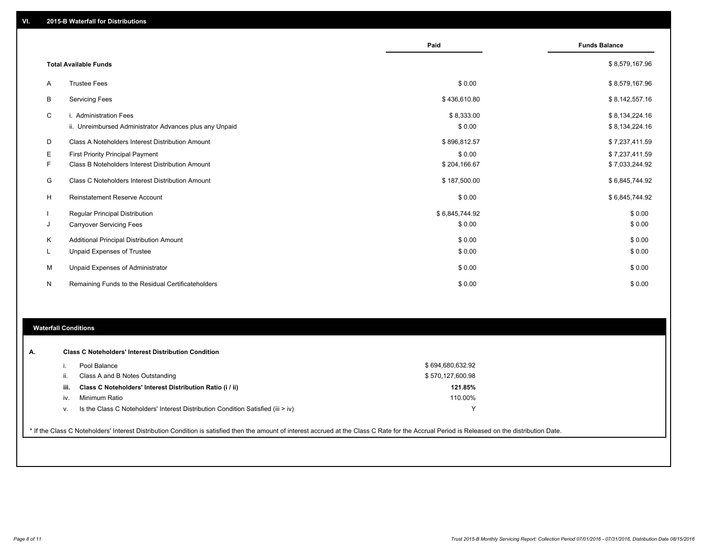|    |                                                                                   | Paid                 | <b>Funds Balance</b>             |
|----|-----------------------------------------------------------------------------------|----------------------|----------------------------------|
|    | <b>Total Available Funds</b>                                                      |                      | \$8,579,167.96                   |
| A  | <b>Trustee Fees</b>                                                               | \$0.00               | \$8,579,167.96                   |
| B  | <b>Servicing Fees</b>                                                             | \$436,610.80         | \$8,142,557.16                   |
| C  | i. Administration Fees<br>ii. Unreimbursed Administrator Advances plus any Unpaid | \$8,333.00<br>\$0.00 | \$8,134,224.16<br>\$8,134,224.16 |
| D  | Class A Noteholders Interest Distribution Amount                                  | \$896,812.57         | \$7,237,411.59                   |
| Ε  | <b>First Priority Principal Payment</b>                                           | \$0.00               | \$7,237,411.59                   |
| F. | Class B Noteholders Interest Distribution Amount                                  | \$204,166.67         | \$7,033,244.92                   |
| G  | Class C Noteholders Interest Distribution Amount                                  | \$187,500.00         | \$6,845,744.92                   |
| H  | <b>Reinstatement Reserve Account</b>                                              | \$0.00               | \$6,845,744.92                   |
|    | <b>Regular Principal Distribution</b>                                             | \$6,845,744.92       | \$0.00                           |
| J  | <b>Carryover Servicing Fees</b>                                                   | \$0.00               | \$0.00                           |
| Κ  | Additional Principal Distribution Amount                                          | \$0.00               | \$0.00                           |
| L. | Unpaid Expenses of Trustee                                                        | \$0.00               | \$0.00                           |
| M  | Unpaid Expenses of Administrator                                                  | \$0.00               | \$0.00                           |
| N  | Remaining Funds to the Residual Certificateholders                                | \$0.00               | \$0.00                           |

#### **Waterfall Conditions**

|      | Pool Balance                                                                       | \$694,680,632.92 |
|------|------------------------------------------------------------------------------------|------------------|
| Ш.   | Class A and B Notes Outstanding                                                    | \$570,127,600.98 |
| iii. | Class C Noteholders' Interest Distribution Ratio (i / ii)                          | 121.85%          |
| IV.  | Minimum Ratio                                                                      | 110.00%          |
| v.   | Is the Class C Noteholders' Interest Distribution Condition Satisfied (iii $>$ iv) | v                |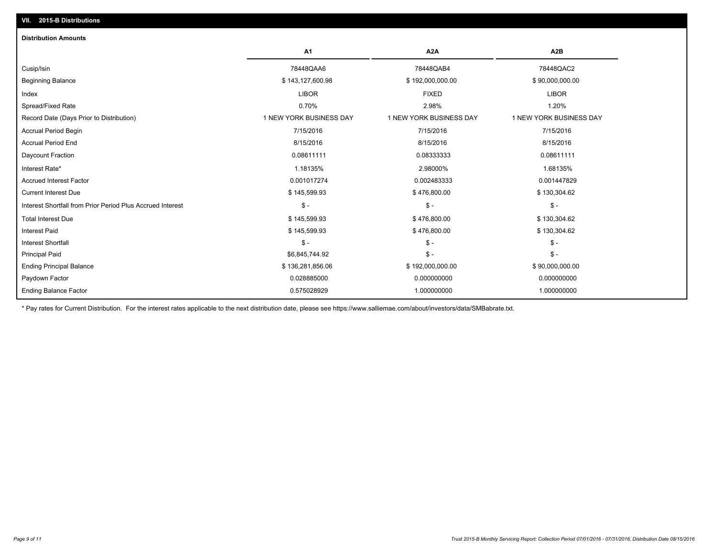| <b>Distribution Amounts</b>                                |                         |                         |                         |
|------------------------------------------------------------|-------------------------|-------------------------|-------------------------|
|                                                            | A1                      | A <sub>2</sub> A        | A <sub>2</sub> B        |
| Cusip/Isin                                                 | 78448QAA6               | 78448QAB4               | 78448QAC2               |
| <b>Beginning Balance</b>                                   | \$143,127,600.98        | \$192,000,000.00        | \$90,000,000.00         |
| Index                                                      | <b>LIBOR</b>            | <b>FIXED</b>            | <b>LIBOR</b>            |
| Spread/Fixed Rate                                          | 0.70%                   | 2.98%                   | 1.20%                   |
| Record Date (Days Prior to Distribution)                   | 1 NEW YORK BUSINESS DAY | 1 NEW YORK BUSINESS DAY | 1 NEW YORK BUSINESS DAY |
| <b>Accrual Period Begin</b>                                | 7/15/2016               | 7/15/2016               | 7/15/2016               |
| <b>Accrual Period End</b>                                  | 8/15/2016               | 8/15/2016               | 8/15/2016               |
| Daycount Fraction                                          | 0.08611111              | 0.08333333              | 0.08611111              |
| Interest Rate*                                             | 1.18135%                | 2.98000%                | 1.68135%                |
| <b>Accrued Interest Factor</b>                             | 0.001017274             | 0.002483333             | 0.001447829             |
| <b>Current Interest Due</b>                                | \$145,599.93            | \$476,800.00            | \$130,304.62            |
| Interest Shortfall from Prior Period Plus Accrued Interest | $$ -$                   | $\mathsf{\$}$ -         | $\frac{2}{3}$ -         |
| <b>Total Interest Due</b>                                  | \$145,599.93            | \$476,800.00            | \$130,304.62            |
| <b>Interest Paid</b>                                       | \$145,599.93            | \$476,800.00            | \$130,304.62            |
| <b>Interest Shortfall</b>                                  | $S -$                   | $\mathsf{\$}$ -         | $\mathsf{\$}$ -         |
| <b>Principal Paid</b>                                      | \$6,845,744.92          | $\frac{2}{3}$ -         | $S -$                   |
| <b>Ending Principal Balance</b>                            | \$136,281,856.06        | \$192,000,000.00        | \$90,000,000.00         |
| Paydown Factor                                             | 0.028885000             | 0.000000000             | 0.000000000             |
| <b>Ending Balance Factor</b>                               | 0.575028929             | 1.000000000             | 1.000000000             |

\* Pay rates for Current Distribution. For the interest rates applicable to the next distribution date, please see https://www.salliemae.com/about/investors/data/SMBabrate.txt.

**VII. 2015-B Distributions**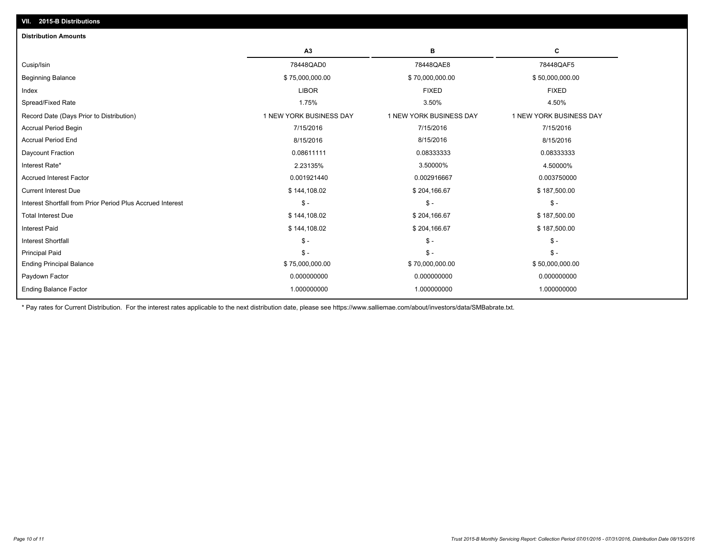| A3                      | в                       | C                       |
|-------------------------|-------------------------|-------------------------|
| 78448QAD0               | 78448QAE8               | 78448QAF5               |
| \$75,000,000.00         | \$70,000,000.00         | \$50,000,000.00         |
| <b>LIBOR</b>            | <b>FIXED</b>            | <b>FIXED</b>            |
| 1.75%                   | 3.50%                   | 4.50%                   |
| 1 NEW YORK BUSINESS DAY | 1 NEW YORK BUSINESS DAY | 1 NEW YORK BUSINESS DAY |
| 7/15/2016               | 7/15/2016               | 7/15/2016               |
| 8/15/2016               | 8/15/2016               | 8/15/2016               |
| 0.08611111              | 0.08333333              | 0.08333333              |
| 2.23135%                | 3.50000%                | 4.50000%                |
| 0.001921440             | 0.002916667             | 0.003750000             |
| \$144,108.02            | \$204,166.67            | \$187,500.00            |
| $\mathsf{\$}$ -         | $\mathsf{\$}$ -         | $\mathcal{S}$ -         |
| \$144,108.02            | \$204,166.67            | \$187,500.00            |
| \$144,108.02            | \$204,166.67            | \$187,500.00            |
| $S -$                   | $\mathsf{\$}$ -         | $\mathsf{\$}$ -         |
| $S -$                   | $\mathsf{\$}$ -         | $\mathsf{\$}$ -         |
| \$75,000,000.00         | \$70,000,000.00         | \$50,000,000.00         |
| 0.000000000             | 0.000000000             | 0.000000000             |
| 1.000000000             | 1.000000000             | 1.000000000             |
|                         |                         |                         |

\* Pay rates for Current Distribution. For the interest rates applicable to the next distribution date, please see https://www.salliemae.com/about/investors/data/SMBabrate.txt.

**VII. 2015-B Distributions**